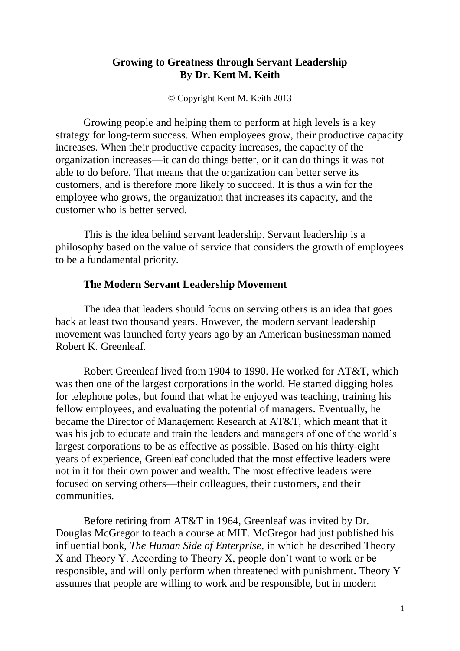# **Growing to Greatness through Servant Leadership By Dr. Kent M. Keith**

© Copyright Kent M. Keith 2013

Growing people and helping them to perform at high levels is a key strategy for long-term success. When employees grow, their productive capacity increases. When their productive capacity increases, the capacity of the organization increases—it can do things better, or it can do things it was not able to do before. That means that the organization can better serve its customers, and is therefore more likely to succeed. It is thus a win for the employee who grows, the organization that increases its capacity, and the customer who is better served.

This is the idea behind servant leadership. Servant leadership is a philosophy based on the value of service that considers the growth of employees to be a fundamental priority.

## **The Modern Servant Leadership Movement**

The idea that leaders should focus on serving others is an idea that goes back at least two thousand years. However, the modern servant leadership movement was launched forty years ago by an American businessman named Robert K. Greenleaf.

Robert Greenleaf lived from 1904 to 1990. He worked for AT&T, which was then one of the largest corporations in the world. He started digging holes for telephone poles, but found that what he enjoyed was teaching, training his fellow employees, and evaluating the potential of managers. Eventually, he became the Director of Management Research at AT&T, which meant that it was his job to educate and train the leaders and managers of one of the world's largest corporations to be as effective as possible. Based on his thirty-eight years of experience, Greenleaf concluded that the most effective leaders were not in it for their own power and wealth. The most effective leaders were focused on serving others—their colleagues, their customers, and their communities.

Before retiring from AT&T in 1964, Greenleaf was invited by Dr. Douglas McGregor to teach a course at MIT. McGregor had just published his influential book, *The Human Side of Enterprise*, in which he described Theory X and Theory Y. According to Theory X, people don't want to work or be responsible, and will only perform when threatened with punishment. Theory Y assumes that people are willing to work and be responsible, but in modern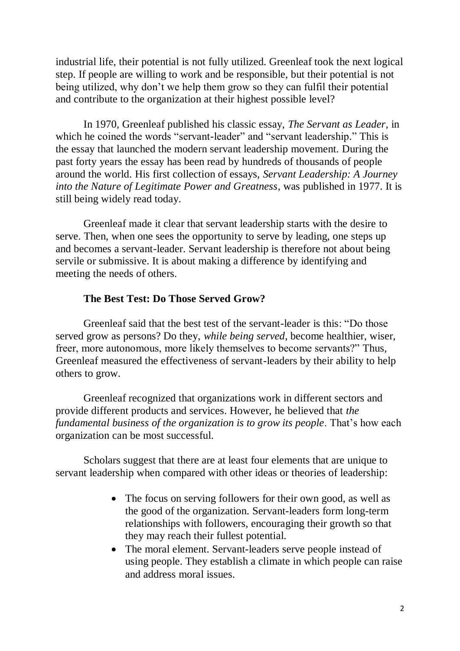industrial life, their potential is not fully utilized. Greenleaf took the next logical step. If people are willing to work and be responsible, but their potential is not being utilized, why don't we help them grow so they can fulfil their potential and contribute to the organization at their highest possible level?

In 1970, Greenleaf published his classic essay, *The Servant as Leader,* in which he coined the words "servant-leader" and "servant leadership." This is the essay that launched the modern servant leadership movement. During the past forty years the essay has been read by hundreds of thousands of people around the world. His first collection of essays, *Servant Leadership: A Journey into the Nature of Legitimate Power and Greatness*, was published in 1977. It is still being widely read today.

Greenleaf made it clear that servant leadership starts with the desire to serve. Then, when one sees the opportunity to serve by leading, one steps up and becomes a servant-leader. Servant leadership is therefore not about being servile or submissive. It is about making a difference by identifying and meeting the needs of others.

## **The Best Test: Do Those Served Grow?**

Greenleaf said that the best test of the servant-leader is this: "Do those served grow as persons? Do they, *while being served*, become healthier, wiser, freer, more autonomous, more likely themselves to become servants?" Thus, Greenleaf measured the effectiveness of servant-leaders by their ability to help others to grow.

Greenleaf recognized that organizations work in different sectors and provide different products and services. However, he believed that *the fundamental business of the organization is to grow its people*. That's how each organization can be most successful.

Scholars suggest that there are at least four elements that are unique to servant leadership when compared with other ideas or theories of leadership:

- The focus on serving followers for their own good, as well as the good of the organization. Servant-leaders form long-term relationships with followers, encouraging their growth so that they may reach their fullest potential.
- The moral element. Servant-leaders serve people instead of using people. They establish a climate in which people can raise and address moral issues.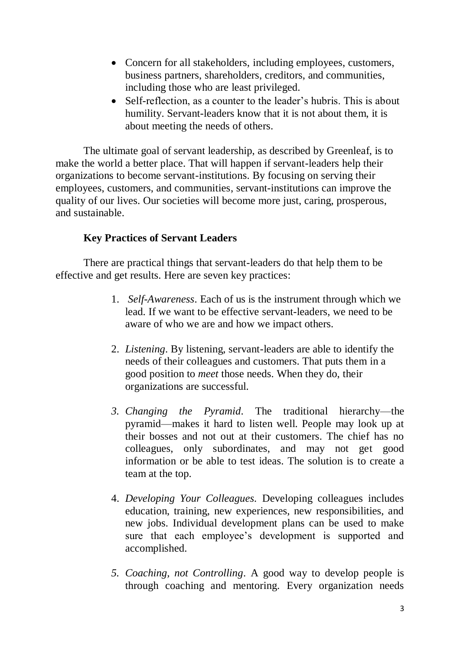- Concern for all stakeholders, including employees, customers, business partners, shareholders, creditors, and communities, including those who are least privileged.
- Self-reflection, as a counter to the leader's hubris. This is about humility. Servant-leaders know that it is not about them, it is about meeting the needs of others.

The ultimate goal of servant leadership, as described by Greenleaf, is to make the world a better place. That will happen if servant-leaders help their organizations to become servant-institutions. By focusing on serving their employees, customers, and communities, servant-institutions can improve the quality of our lives. Our societies will become more just, caring, prosperous, and sustainable.

# **Key Practices of Servant Leaders**

There are practical things that servant-leaders do that help them to be effective and get results. Here are seven key practices:

- 1. *Self-Awareness*. Each of us is the instrument through which we lead. If we want to be effective servant-leaders, we need to be aware of who we are and how we impact others.
- 2. *Listening*. By listening, servant-leaders are able to identify the needs of their colleagues and customers. That puts them in a good position to *meet* those needs. When they do, their organizations are successful.
- *3. Changing the Pyramid*. The traditional hierarchy—the pyramid—makes it hard to listen well. People may look up at their bosses and not out at their customers. The chief has no colleagues, only subordinates, and may not get good information or be able to test ideas. The solution is to create a team at the top.
- 4. *Developing Your Colleagues.* Developing colleagues includes education, training, new experiences, new responsibilities, and new jobs. Individual development plans can be used to make sure that each employee's development is supported and accomplished.
- *5. Coaching, not Controlling*. A good way to develop people is through coaching and mentoring. Every organization needs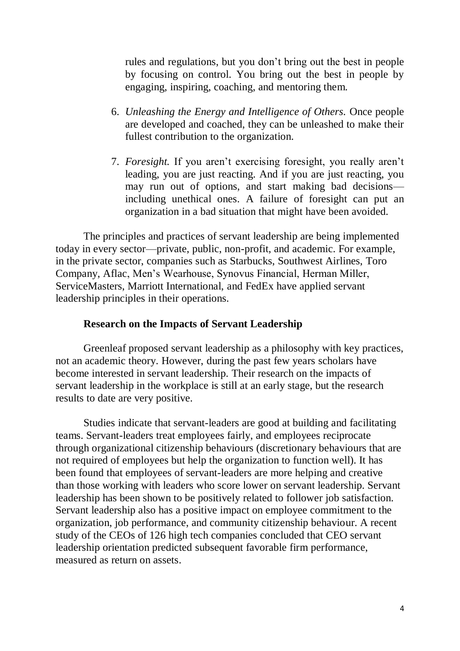rules and regulations, but you don't bring out the best in people by focusing on control. You bring out the best in people by engaging, inspiring, coaching, and mentoring them.

- 6. *Unleashing the Energy and Intelligence of Others.* Once people are developed and coached, they can be unleashed to make their fullest contribution to the organization.
- 7. *Foresight.* If you aren't exercising foresight, you really aren't leading, you are just reacting. And if you are just reacting, you may run out of options, and start making bad decisions including unethical ones. A failure of foresight can put an organization in a bad situation that might have been avoided.

The principles and practices of servant leadership are being implemented today in every sector—private, public, non-profit, and academic. For example, in the private sector, companies such as Starbucks, Southwest Airlines, Toro Company, Aflac, Men's Wearhouse, Synovus Financial, Herman Miller, ServiceMasters, Marriott International, and FedEx have applied servant leadership principles in their operations.

### **Research on the Impacts of Servant Leadership**

Greenleaf proposed servant leadership as a philosophy with key practices, not an academic theory. However, during the past few years scholars have become interested in servant leadership. Their research on the impacts of servant leadership in the workplace is still at an early stage, but the research results to date are very positive.

Studies indicate that servant-leaders are good at building and facilitating teams. Servant-leaders treat employees fairly, and employees reciprocate through organizational citizenship behaviours (discretionary behaviours that are not required of employees but help the organization to function well). It has been found that employees of servant-leaders are more helping and creative than those working with leaders who score lower on servant leadership. Servant leadership has been shown to be positively related to follower job satisfaction. Servant leadership also has a positive impact on employee commitment to the organization, job performance, and community citizenship behaviour. A recent study of the CEOs of 126 high tech companies concluded that CEO servant leadership orientation predicted subsequent favorable firm performance, measured as return on assets.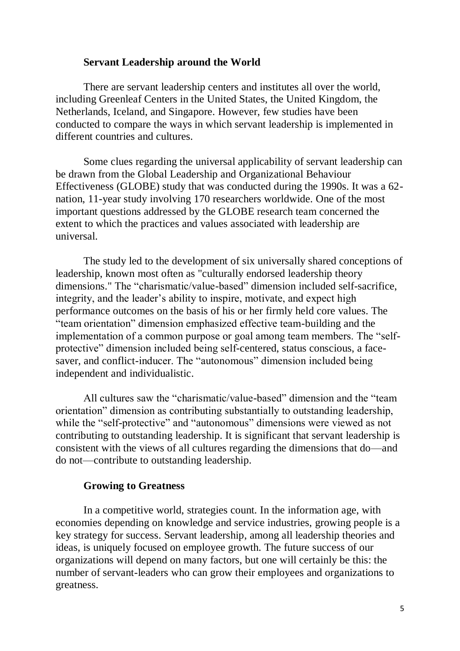### **Servant Leadership around the World**

There are servant leadership centers and institutes all over the world, including Greenleaf Centers in the United States, the United Kingdom, the Netherlands, Iceland, and Singapore. However, few studies have been conducted to compare the ways in which servant leadership is implemented in different countries and cultures.

Some clues regarding the universal applicability of servant leadership can be drawn from the Global Leadership and Organizational Behaviour Effectiveness (GLOBE) study that was conducted during the 1990s. It was a 62 nation, 11-year study involving 170 researchers worldwide. One of the most important questions addressed by the GLOBE research team concerned the extent to which the practices and values associated with leadership are universal.

The study led to the development of six universally shared conceptions of leadership, known most often as "culturally endorsed leadership theory dimensions." The "charismatic/value-based" dimension included self-sacrifice, integrity, and the leader's ability to inspire, motivate, and expect high performance outcomes on the basis of his or her firmly held core values. The "team orientation" dimension emphasized effective team-building and the implementation of a common purpose or goal among team members. The "selfprotective" dimension included being self-centered, status conscious, a facesaver, and conflict-inducer. The "autonomous" dimension included being independent and individualistic.

All cultures saw the "charismatic/value-based" dimension and the "team orientation" dimension as contributing substantially to outstanding leadership, while the "self-protective" and "autonomous" dimensions were viewed as not contributing to outstanding leadership. It is significant that servant leadership is consistent with the views of all cultures regarding the dimensions that do—and do not—contribute to outstanding leadership.

#### **Growing to Greatness**

In a competitive world, strategies count. In the information age, with economies depending on knowledge and service industries, growing people is a key strategy for success. Servant leadership, among all leadership theories and ideas, is uniquely focused on employee growth. The future success of our organizations will depend on many factors, but one will certainly be this: the number of servant-leaders who can grow their employees and organizations to greatness.